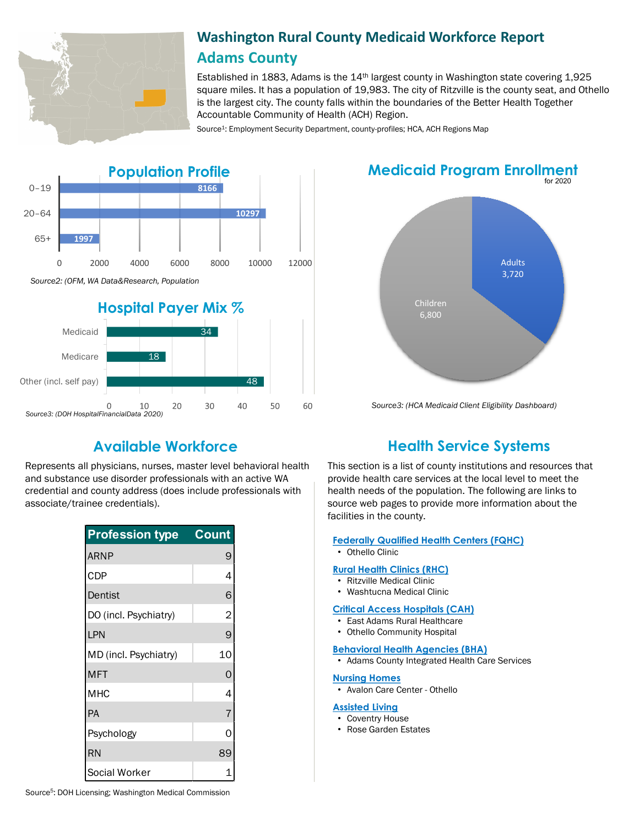

# **Washington Rural County Medicaid Workforce Report Adams County**

Established in 1883, Adams is the 14th largest county in Washington state covering 1,925 square miles. It has a population of 19,983. The city of Ritzville is the county seat, and Othello is the largest city. The county falls within the boundaries of the Better Health Together Accountable Community of Health (ACH) Region.

Source<sup>1</sup>: Employment Security Department, county-profiles; HCA, ACH Regions Map



# **Medicaid Program Enrollment**



*Source3: (HCA Medicaid Client Eligibility Dashboard)*

20

30

40

50

60

10

*Source3: (DOH HospitalFinancialData 2020)*

 $\mathbf 0$ 

Represents all physicians, nurses, master level behavioral health and substance use disorder professionals with an active WA credential and county address (does include professionals with associate/trainee credentials).

| <b>Profession type</b> | <b>Count</b>   |
|------------------------|----------------|
| <b>ARNP</b>            | 9              |
| <b>CDP</b>             | 4              |
| Dentist                | 6              |
| DO (incl. Psychiatry)  | $\overline{c}$ |
| LPN                    | 9              |
| MD (incl. Psychiatry)  | 10             |
| <b>MFT</b>             | 0              |
| <b>MHC</b>             | 4              |
| PA                     | 7              |
| Psychology             | ი              |
| <b>RN</b>              | 89             |
| Social Worker          |                |

# **Available Workforce Health Service Systems**

This section is a list of county institutions and resources that provide health care services at the local level to meet the health needs of the population. The following are links to source web pages to provide more information about the facilities in the county.

### **[Federally Qualified Health Centers \(FQHC\)](https://www.google.com/search?ei=we6tXdvZDZbD0PEPrty0yAE&q=what+is+a+health+service+systems&oq=what+is+a+health+service+systems&gs_l=psy-ab.3...73883.75212..75689...0.2..0.67.521.10......0....1..gws-wiz.......0i71j0i13j0i8i7i30j0i13i30j0i13i5i30j0i8i13i30j0i8i30.JaVGckKGx3E&ved=0ahUKEwibvu-C9K3lAhWWITQIHS4uDRkQ4dUDCAo&uact=5#spf=1571680014088)**

• Othello Clinic

### **[Rural Health Clinics \(RHC\)](https://data.hrsa.gov/)**

- Ritzville Medical Clinic
- Washtucna Medical Clinic

#### **[Critical Access Hospitals \(CAH\)](https://www.doh.wa.gov/ForPublicHealthandHealthcareProviders/RuralHealth/RuralHealthSystems)**

- East Adams Rural Healthcare
- Othello Community Hospital

#### **[Behavioral Health Agencies \(BHA\)](https://www.doh.wa.gov/LicensesPermitsandCertificates/ProviderCredentialSearch)**

• Adams County Integrated Health Care Services

### **[Nursing Homes](https://fortress.wa.gov/dshs/adsaapps/lookup/NHPubLookup.aspx)**

• Avalon Care Center - Othello

#### **[Assisted Living](https://fortress.wa.gov/dshs/adsaapps/lookup/BHPubLookup.aspx)**

- Coventry House
- Rose Garden Estates